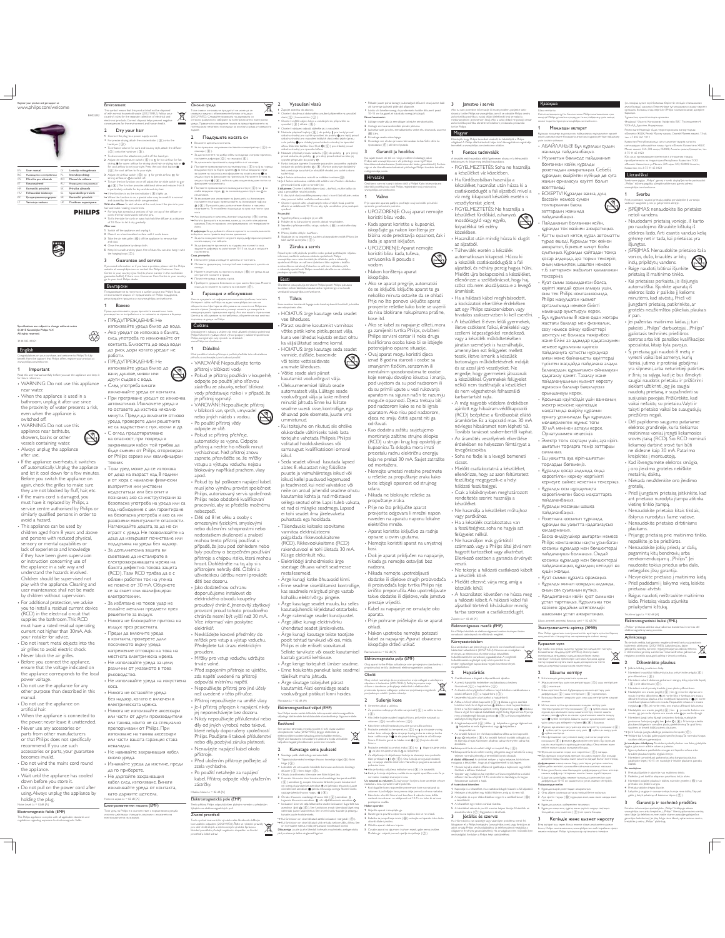the contract of the contract of www.philips.com/welcome



| EN  | User manual                | IV.       | Lietotija roksayrāmats   |
|-----|----------------------------|-----------|--------------------------|
| RC. | Рьководство за потребителя | PL.       | Instrukcia obsłuni       |
| cs  | Příručka pro uživatele     | RO        | Manuel de celèvere       |
| FT. | Kasucusiuhend              | R1 I      | Рековрество пожаравателя |
| HR. | Korisnički priručnik       | $\propto$ | Principa citizenshi      |
| H1  | Fehaamilói kézkönyv        | q.        | Uporabniški priročnik    |
| kV. | Колдонудыных иускасы       | <b>SR</b> | Korisnički priručnik     |
| IТ. | Vartotolo vadovas          | 110       | Посібник користивача     |

 $\bigoplus$ 

### **PHILIPS**

For long hair, spread comb the hair downwards with the pins.<br>To fix the style for curly or way hair, ho " En tot de an de for conjex once y describerted the diffuser at a distance<br>definition for the property of the sympathy of the diffuser are<br> $\frac{1}{2}$  from the of the appliance and unpling it.<br>There is considered that the

guarantee leaflet). If there is no

Centre in yo

go to your local Philips dealer. Български ~~~~~~~~~~~ Поздравчевме ви за покупката и добре дошли във Philips! За да се выполямте ищило от предлаганата от Philips подарьния, pervctpapalne npoдукта си на www.philps.co m/welco

=<br>|f una meet information on if una haus a modelem a

-<br>Fidear as reformate Преди да използвате уреда, прочетете внимателно това рьководство за готребителя и го запавете за стравка в бъдеще. - ПРЕДУПРЕЖДЕНИЕ: Не<br>Aro уредът се използва в банята,<br>- Ако уредът се използва в банята,<br>след употреба го изключвайте от<br>контакта. Близостта до вода води<br>до риск, дори когато уредът не<br>работи. ₩ ۰

Congratulations on your purchase, and welcome to Philips! To fully Read this user manual carefully before you use the appliance and keep it for future reference. WARNING: Do not use this appliance , ---------<br>ПРЕДУПРЕЖДЕНИЕ: Не<br>използвайте уреда близо до използвайте уреда близо до<br>вани, душове, мивки или<br>други съдове с вода. .<br>След употреба винаги<br>изключвайте уреда от контакта изможнайте уреда от контакта.<br>• При претраване уредат се накожна автоматично. Извольстве уреда и свой поставете да изстива изможно минути. Преди да волючите отново уреда, проверете дали решетиоте на задрженно как да да з

• Този уред може да се използва<br>от деца на възраст над 8 години<br>и от хора с намалени физически<br>възприятия или умствени

Наглеждайте децата, за да не си<br>играят с уреда. Не позволявайте на

деца да извършват почистване или<br>поддръжка на уреда без надзор.<br>• За допълнителна защита ви<br>съветваме да инсталирате в<br>емектрозахранващата мрежа на<br>банята дефектно-токова защита<br>(RCD). Тази RCD трябва да е с

обявен работен ток на утечка<br>не повече от 30 mA. Обърнете<br>се за съвет към квалифициран

;<br>Не използвайте уреда на изкуст коса.<br>• Никога не оставяйте уреда без надзор, когато е включен в<br>електрическата мрежа.<br>• Никога не използвайте аксесоари или части от други производители<br>или такива, които не са специално<br>препоръчвани от Philips. При<br>използване на такива аксесоари 13ПОЛЗВане на такива аксософии<br>1ли части вашата гаранция става

**IPRANAHA** • Не навивайте захранващия кабел коло уреда. ;<br>• Изчакайте уреда да изстине, преди да го приберете. • Не дърпайте захранващия<br>- кабел след използване. Винаги<br>- изключвайте уреда от контакта,<br>- като държите щепсела.<br>- <sup>како</sup>м извики:= 82 авду.

/+!&\*"(C-&C-)"/+&(-Тахи уред на Річірх е в сьответствие с нормативната уредба и всички действащи стандарти, свърхани с излагането на anextpowarsetten inany-marest

water water.<br>When the anniance is used in a When the appliance is used in a bathroom, unplug it after use since the proximity of water presents a risk, even when the appliance is switched off.<br>WARNING: Do not use this

English

m the suppo rt that Philips o ffers, register yo

Specifications are subject to change without notice © 2015 Koninklijke Philips N.V. the contract of the contract of 3140 035 41051

www.philips.com/welcome. 1 Important

- WARNING. Do not use this<br>explanate characteristic applicance near bathtubs, showers, basins or other<br>explainted were substituted with the appliance of the appliance overheats, it switches<br>after use after use and the tim

- This appliance can be used by<br>children aged from 8 years and above<br>and persons with reduced physical,<br>sensory or mental capabilities or<br>lack of experience and knowledge<br>if they have been given supervision<br>or instruction understand the hazards involved. Children should be supervised not play with the appliance. Cleaning and user maintenance shall not be made

by children without supervi For additional protection, we advise you to install a residual current device (RCD) in the electrical circuit that supplies the bathroom. This RCD must have a rated residual operating current not higher than 30mA. Ask your installer for advice. електротехник.<br>• За избягване на токов удар не<br>пъхайте метални предмети през решетките за въздух.<br>• Никога не блокирайте притока на въздух през решетката.<br>в контакта, проверете дам<br>в контакта, проверете дам<br>посоченото върху уреда<br>напрежение отговаря на това на<br>местната емектрическа мрежа.<br>1- Не използвайте уреда за цеми,<br>рамични от указаното в това<br>ры

Do not insert metal objects into the air grilles to avoid electric shock. Never block the air grilles. Before you connect the appliance, ensure that the voltage indicated on the appliance corresponds to the local

power voltage. Do not use the appliance for any other purpose than described in this manual. Do not use the appliance on

artificial hair.<br>
• When the appliance is connected to<br>
the power, never leave it unattended.<br>
• Never use any accessories or<br>
parts from other manufacturers or that Philips does not specifically<br>recommend. If you use such

accessories or parts, your guarantee becomes invalid. Do not wind the mains cord round the appliance. Wait until the appliance has cooled

down before you store it.<br>
• Do not pull on the power cord after<br>
holding the plug.<br>
holding the plug.<br>
holding the plug.<br>
Noise Level:<br>  $\frac{1}{2}$  and  $\frac{1}{2}$  and  $\frac{1}{2}$ 

- 
- This Philips appliance complies with all applicable standards and regulatio

 $\overline{\mathbb{L}}$ 

BHD282 Environment This symbol means that this product shall not be disposed of with normal household waste (2012/19/EU). Follow your country's rules for the separate collection of electrical and

hairdryer  $($   $($   $)$  $)$ 

 $\overline{a}$ 

 $\chi$ electronic products. Correct disposal helps prevent negative consequences for the environment and human health. 2 Dry your hair 1 Connect the plug to a power supply socket. For precise drying, attach the concentrator  $(\cdot)$  onto the

#### To enhance volume for curls and bouncy style, attach the diffuser sepane. -<br>1 Bourgett werden a scientists. 1 Boud-ete liencena e kohtakta.<br>...  $\bullet$  За по-грецино изгушава е поставете концентратора  $(\textcircled{3})$  на

( b ) onto the hairdryer ( c ). To disconnect the attachment, pull it off the hairdryer. 2 Adjust the temperature switch ( e ) to  drying, 
  
 

  - ( d" %f ) to for 3 Adjust the airbox multiple matrix ((2)) to 1 lies generals arises of the second state and the second state of the second state of the second state of the second state of the second state of the second state of the secon сецоара ( Q) ). • За да поститиете по-добър обем за издриди и игриви прически, поставете дифукора ( $\left(\overline{\Omega}\right)$ ) на сецоара ( $\left(\overline{\Omega}\right)$ ). \* За да махнете приставиата, издъргайте я от сексара.<br>2 Поставите приклочнателя за температура (இ) на 8 за гореща<br>выдушна струя за бърко сукине, இ за толча въдушна струя<br>за сушене на хъса иоса или офермене на хосата или н жадна струя за фиксиране на прическата. Натиснете бутона за<br>ходдна струя Ф ( (4) ), който ви дава хидден въздушен поток за 3 Поставите преволочвателя за выдушна струя ( $\textcircled{\hspace{0.3mm}(\mathfrak{o})}$  ) на  $\textsf{\hspace{0.3mm}I}$  за силна выдушна струя или  $\textsf{\hspace{0.3mm}O}$ за

!"/C(%\*+\$( Таж символ означава, че продуктыт не може да се ххавдих хардно с обионовените битави отпадырг (2012/19/ЕС). Смедвайте гравилата на държавата си 77HOOHO DEMANHOTO CMX/DEMI HE EMEKTDEMICRATE II EMEKTDOHHII уреди. Правичното изхеърияне помага за предотвративането на Z7\_QX?|XQ?\_X@XZ7|Q<XX;?7\7|?\_?>Q<?X7@Q{\7\_7

лоставете плытация преволочател за йонквиране на ∥или<br>О ( (@ ). Функцията дава догълнителен блязы и наналява<br>начутването. Тя е особено подходяща за суха или почти суха № Ако функцията е волочена, йоннит индикатор (⊙) светка.<br>№ Когато функцията е волочена, може да се усети стецифична

— меризма. Тока е нормално и е предизвикано от генериранете<br>С денье<br>О дифувора: За да добавите обем в корените на косата, вмините<br>въбарте в нем и правете въртеливи движения. \* За дыла коса, равстемате кондрите върху дифунера или срещете \7?\_??<7|^};}`X\_Q • За да фиксирате прическата за издрава ими вълниста коса, хадрьжте дифузера на равстояние 10-15 см, ха да и изсушите TOCTETIEHHO.

me.

If you need information or if you have a problem, please visit the Philips website at www.philips.com or contact the Philips Customer Care er in the wa rldwide mumer Care Centre in yo untry. /+\$D)"&\*+,( 1 : Изключете уреда и извадете цепсела от хонтакта.<br>^ 2 \_?@Q\_Q^>Q<?@}>^\_7Z|7^\_7X@?Z7@}>7\_<7\?\_7Q 3 Мюонте решетката за приток на въздух ( (§§ ) от уреда, за да orcepaverre kockerre in ripaica 4 Почетете уреда с влажна кърга.<br>Е. Почетите село со более село

5 Приберете уреда на безспасно и сухо място без прах. Можете<br>- $\alpha$ aro okeete ha xavata ja okeese ( $\left(\widehat{7}\right).$ Гаранция и обслужване Ако се нуждаете от информации или имате гроблем, посетете Интернет сайта на Philips на адрес www.philips.co m your ce обърнете към Центъра за обслужване на клиенти на Різїрз във

вашата страна (телефонния му номер можете да намерите в мендународната гаранционна карта). Ако във вашата страна нема Център за обслужение на потребители, обърнете се към местния търговец на уреди на Philips.

Cratulujeme k nákupu a vitáme vás mezi užkasteli výrobků společnosti<br>Philips! Chcete-li využívat vlech výhod podpory nabízené společnosti Philips, zaregistrujte svůj výro ek na stránkách www.Philips.com/welcome. .<br>Před použítím tahoto při Před po uhtim ta přístra je si pečivě přečtěte tuto ubvatelsko

příručiu a unchovejte ji pro budoucí použití<br>• VAROVÁNÍ: Nepoužívejte tento

přístroj v blízkosti vody.<br>• Pokud je přístroj používán v koupelně,<br>odpojte po používí jeho síťovou<br>zástrčku ze zásuvky, neboť blízkost<br>vody představuje riziko i v případě, že je přístroj vypnutý.<br>VAROVÁNÍ: Nepoužívejte přístroj

v blízkosti van, sprch, umyvadel<br>v blízkosti van, sprch, umyvadel<br>nebo jiných nádob s vodou.<br>Po použití přístroj vždy<br>v dpojte ze sítě.<br>Pokud se přístroj přehřeje,<br>automaticky se vypne. Odpojte<br>vychladnout. Než přístroj zn vychladnouch vez pristroj znovu<br>zapnete, přesvědčte se, že mřížk

недостатъци или без опит и<br>познания, ако са инструктирани за<br>безопасна употреба на уреда или са<br>под наблюдение с цел гарантиране<br>на безопасна употреба и ако са им<br>разяснени евентуалните опасности. vstupu a výstupu vzduchu nejsou<br>blokovány například prachem, vlasy apod.<br>
• Pokud by byl poškozen napájecí kabel,<br>
musí jeho výměnu provést společnost<br>
Philips, autorizovaný servis společnost<br>
Philips nebo obdobně kvalifikovaní<br>
pracovníci, aby se předešlo možnému<br>
pracovníci, aby se před

• Děti od 8 let věku a osoby s<br>omezenými fyzickými, smyslov nenezenými fyzickými, smyslovými<br>nebo duševními schopnostmi nebo<br>nedostatkem zkušeností a znalostí<br>mohou tento přístroj používat v<br>případě, že jsou pod dohledem nebo<br>byly poučeny o bezpečném používatí<br>přístroje a chápou nz

hrozit. Dohlédněte na to, aby si s<br>přístrojem nehrály děti. Čištění a<br>užívatelskou údržbu nesmí provádět<br>děti bez dozoru.<br>- Jako dodatečnou ochranu doporučujeme instalovat do<br>elektrického obvodu koupelny<br>proudový chránič. Jmenovitý zbytkový

provozní proud tohoto proudového<br>chrániče nesmí být vyšší než 30 mA.<br>Více informací vám poskytne<br>elektrikář.

• Nevkládejte kovové předměty do<br>mřížek pro vstup a výstup vzduchu.<br>Předejdete tak úrazu elektrickým proudem. · Mřížky pro vstup vzduchu udržujte

t "Het zapojením přístroje se ujístěte,<br>
zda napětí wedené na přístroj<br>
• Nepoužívejte přístroje po<br>
• Nepoužívejte přístroje přivoče.<br>
• než uvedené v této přívuče.<br>
• Přístroj připojen k napějení, nikdy<br>
• Jej přístroj p

Nenavíjejte napájecí kabel okolo přístroje.<br>• Před uložením přístroje počkejte, až

zcela vychladne.<br>• Po použití netahejte za napájecí<br>kabel. Přístroj odpojte vždy vytažením<br>zástrčky. Hladina hluku: Lc = 82 dB [A]

### 9 
9>-4

pro středí a lidské zdrav

Tento i Philips o vidá všem platným no rmám a předpisům týkajícím se elektromagnetických po Tento symbol znamená, že výrobek nebe liovidovat s běžným<br>komunálním odpadem (2012/19/EU), Řídhe se místními pravidy<br>pro slože elektrických a elektronických výrobků. Spravnou<br>likvidací pomůžene předejit negatívním dopadům

Difuuseriga juuste juurte lähedalt kohevaks muutmiseks asetage otsiku piid juustesse ja tehke ringlevaid liigutusi.

#### $\overline{\phantom{a}}$

.<br>@ | XX

 $\overline{\mathbb{X}}$ 

The Contract of the Contract of the Contract of the Contract of the Contract of the Contract of the Contract of the Contract of the Contract of the Contract of the Contract of the Contract of the Contract of the Contract o 1 Zapo<br>1 A te zástrčku do zána/o/ \* Choste-i do sihro ut da · yyuleri, připevněte na vyso uleč vissù ( Q) ) koncentrátor ( Q) ).<br>• Chcete-ii zvětšít objem loken a v<br>• vysouleč ( Q) ) difuzér ( Q) ). ken a vzdušných vln, přípevněte na \* Choste-li nástavec o dpa jit, stáhněte jej z vysouleče.<br>ty ( ⑤ ) do polohy & pra hork<br>Hé vysoulení, do polohy ® pra 2 Nastavte přepínač teplo vzduchu vho dný pro

ud.

 $\overline{\mathbf{a}}$ 

müügiesindaja poole.

\$±

u,

ə rystale vyuxullersi, də polohy @ pra teplij: pra<br>c huxullersi kralikijah vlasü nelsa jejich üpravu<br>chladný proud uxduchu vhodný ke spevnilini<br>Blas Cool Shot @ (④) pro chladný proud<br>ə spevnilini üčesu. vzduchu vhodný pro<br>a do polohy ● pro i účesu. Stráměte tlačiláz vardschu vhodný pro spevnění účenu.<br>3 Ystatsvá přepínač proudu vzduchu (G) do polohy || pro jerený<br>- proud vzduchu, do polohy || pro ulný proud vzduchu nebo jej<br>- Yankei ionizace zapnete či vypreže posuruzím posuvného vypí funkci ionizace zapnete či vypnete posuružím posuvného vypínače<br>ionizace do polohy || nebo () ( ()) ) Funkce poskytuje dodatečný<br>lesk a redukuje zacuchání. Je obzvláltili vhodná pro suché a skoro suché vlasy » Je-li funkce aktivována, rozsvítí se indikátor ionizace (i). + le-li funkce aktivo

vána, můžete cítit zvláštní vůni. Vzniká v důsledku ntú a jde c ¯°\$' **S difuzérem:** Choete-li zvětšít a<br>ulasů s nemalelište retu*řní ro*dní jem vlasli u ko řínků, vsuřite ko ilky da vádějte ro Å uhých vlasů ro edilite pramery vlasů v ho rní části dňuzéru neb Maù ra ačelte směrem do \* Choete-li zpevnit účes u kudmatých nebo vlnitých vlasů, podr<br>difuzér ve vzdálenosti 10-15 cm, aby bylo umožněno jeho po držte stupné '
¶°

4:
7 1 Vypněte přístra<br>a n v v 1 the joy zee sidely 2 Po<br>3 C žte jej na žáruvzdo urch, do kud nevychladne. 3 Sejmëte z phistro je mřížku vstupu vzduchu ( (§§) ) a o dstrafite vlasy

#### a prach.<br>4 Přístroj čistěte věkým hadříkem.<br>5 Škladujte jej na bezpečném, suchém a b<br>také zavěst za smyčku ((?) ). ezpralném místě. Přístro

|<br>|Projector|| Imagine amidió indestination americals.com kud b yste měli jakýko lém neb po ujete nějako info rmaci, navštivte web VO u stránku spo lečna sti Philips m neb lips.com nebo kontsktujte středisko péče o zákszníky<br>sti Philips ve valil zemi (telefonní číslo najdete v letáčku<br>tovou zárukou). Pokud se ve valil zemi středisko péče s celo '¹ u záruko zácaznky spo lečna sti Philips nerachází, o ratte se na místnho dejce výra kù Philips

Festi eestime<br>Eestime Õnnitleme ostu puhul ja tervitame Philipsi poolt! Philipsi pakutava tootetoe eeliste täielikuks kasutamiseks registreerige oma toode veebisaidil www.philips.com/welcome.

**Tähtis** 1<br>Frese seartese kunstan Enne seadme kasutamist lugege seda kasutusjuhendit hoolikalt ja hoidke see edapidiseks ales.<br>• HOIATUS: ärge kasutage seda seadet

vee läheduses. Pärast seadme kasutamist vannitoas võtke pistik kohe pistikupesast välja, kuna vee lähedus kujutab endast ohtu ka väljalülitatud seadme korral.

- HOIATUS: ärge kasutage seda seadet<br>vannide, duššide, basseinide<br>või teiste vettsisaldavate anumate läheduses. Võtke seade alati pärast kasutamist vooluvõrgust välja.

Ülekuumenemisel lülitub seade automaatselt välja. Lülitage seade vooluvõrgust välja ja laske mõned minutid jahtuda. Enne kui lülitate seadme uuesti sisse, kontrollige, ega õhuavad pole ebemete, juuste vms ummistunud. ummistunud.<br>Kui toitejuhe on rikutud, siis ohtlike

olukordade vältimiseks tuleb lasta toitejuhe vahetada Philipsis, Philipsi volitatud hoolduskeskuses või ' ' isikul.

- Seda seadet võivad kasutada lapsed<br>ei seadet võivad kasutada lapsed<br>salates 8. eluaatstat ning füüsiiste<br>iskud, kellel puuduvad kogemused<br>ja teadmised, kui neid vahatalase või<br>neide on antud juhendid seadme obutu<br>neide o

sisestage õhuava vahelt sead<br>metallesemeid.

metallesemeid. Ärge kunagi katke õhuavasid kinni. e seadme sisselülitamist kontrollige kas seadmele märgitud pinge vastab kohaliku elektrivõrgu pingele.<br>Arige kasutage seadet muuks, kui selles<br>kasutusjuhendis kirjeldatud otstarbeks.<br>Arige rakendage seadet kunstjuustel.<br>Arige jätke kunagi elektrivõrku<br>ühendatud seadet järielevaketa.<br>Arge kunag

Selliste tarvikute või osade kasutamisel kaotab garantii kehtivuse.

Ärge kerige toitejuhet ümber seadme. Enne hoiukohta panekut laske seadmel täielikult maha jahtuda. Ärge sikutage toitejuhet pärast kasutamist. Alati eemaldage seade vooluvõrgust pistikust kinni hoides.

Müratase: Lc = 82 dB (A) -9 

< - See Philipsi seade vastab kõikidele kokkupuudet elektromagnetiliste väljadega käsitlevatele kohaldatavatele standarditele ja õigusnormidele. Keskkond

See sümbol tähendab, et seda toodet ei tohi visata tavaliste É olmejäätmete hulka (2012/19/EL). Järgige elektriliste ja elektrooniliste toodete lahuskogumise kohalikke eeskirju. Õigel viisil kasutusest kõrvaldamine aitab ära hoida võimalikke kahjulikke tagajärgi keskkonnale ja inimese tervisele.

#### 1 Somtaan nistik alaktrisitem sainukeetakti 1 Sisestage pistik elektrivõrgu seinakontakti.

külge ( c ).

 $\bullet$  Täppiskuivatamiseks kinnitage õhuvoo koondaja külge $(\cdot 0)$  fööni  $^*$  Lokkidele või vetruvatele lokkidele kohevuse andmiseks kinnitage difuuser (  $\overline{Q}$  ) fööni külge (  $\overline{Q}$  ). Otsaku äravõtmiseks tõmmake see fööni küljest ära. 2 Kuumista õhtuvatoks kiiral kuisutatumist suudistaga teenpeeratuurilikti valitsiooni valitsiooni valitsiooni<br>1996 valitsiooni valitsiooni valitsiooni valitsiooni valitsiooni valitsiooni valitsiooni valitsiooni valitsioon

**Ionisaatori sisse või välja lülitamiseks seadke ionisaatori liugurlüliti kas asendisse**  $\mathbf{I} \vee \mathbf{O}(\mathbf{\widehat{\Theta}})$ **. See funktsioon annab täiendavat läiget ning vähendab juuste sassiminekut. See on eriti sobiv kuivade ja** kuivade juuste hooldamiseks. .<br>tud, süttib ionisa » Kui funktsioon on sisse lülitatud, võib erituda iseloomulikku lõhna. See on normaalne nähtus, mida põhjustavad toodetavad ioonid.

● Pikkade juuste puhul laotage juuksesalgud difuuseri otsa juurest laiali<br>● Lokkis või kammige juukseid piide abil allapoole.<br>● Lokkis või lainelise soengu kujundamiseks hoidke difuuserit peast<br>↑ 10−15 cm kaugusel, et kui 1 Lülitage seade välja ja eemaldage toitejuhe seinakontaktist. 2 Asetage see kuumusekindlale pinnale jahtuma. 3 Juuksekarvade ja tolmu eemaldamiseks võtke õhu sissevoolu ava rest (j ) ära.

4 Puhastage seade niiske lapiga. 5 Hoiustage see ohutus ja kuivas tolmuvabas kohas. Selle võite ka riputusaasa ( (7) ) abil üles riputada. Garantii ja hooldus .<br>Kui vajate teavet või teil on mingi probleem, külastage palun<br>Philipsi saiti www.philips.com või pöörduge oma riigi Philipsi<br>klendriseemindukselauesen (teilefoinrumbri leiste gezentilehelt), Kui teie<br>riigis ei ole klendi

Hrvatski edamo van n Cestitamo vam na kupnji i do ti u Philips! Kako tpung drila ko ju nudi Philips, registringte svo d na www.philips.com/welcome.

.<br>Mia ununka Prije upo e aparata pažijuo pro ótate o risnički prinačnik i spremite ga.za buduće potrebe.<br>• UPOZORENJE: Ovaj aparat nemojte koristiti blizu vode. Kada aparat koristite u kupaonici, iskopčajte ga nakon korištenja jer<br>blizina vode predstavlja opasnost, čak i



• Nakon korištenja aparat iskopčajte.<br>• Ako se aparat pregrije, automatski<br>će se isključiti. Isključite aparat te ga<br>nekoliko minuta ostavite da se ohladi.

Prije no što ponovo uključite aparat<br>provjerite rešetke kako biste se uvjerili<br>kose itd.<br>da nisu blokirane nakupinama prašine,<br>kose itd.<br>- Ako se kabel za napajanje ošteti, mora<br>pa zamijeniti tvrtka Philips, ovlašteni<br>Phil potencijalno opasne situacije.

- Ovaj aparat mogu koristiti djeca<br>siznad 8 godina starosti i osobe sa<br>smanjenim fizičkim, senzomim ili<br>mentalnim sposobnostima te osobe<br>koje nemaju dovoljno iskustva i znanja,<br>pod uvjecom da su pod nadzorom ili<br>da su prim aparatom na siguran način te razumiju<br>moguće opasnosti. Djeca trebaju biti<br>pod nadzorom kako se ne bi igrala<br>aparatom. Ako nisu pod nadzorom,<br>djeca ne smiju čistiti aparat niti ga<br>održavati.

<sup>¥</sup> kao dodaru zaštitne strujne sklopke<br>
(RCD) u strujni krug koji opskrbljuje<br>
kupaonicu. Ta sklopka mora imati<br>
preostalu radnu električnu energiju<br>
koja ne prekai 30 mA Savjet zaražite<br>
od mortažera.<br>
• Nemojte umetat

· Nikada ne blokirajte rešetke za rácsot.<br>• Mielőtt csatlakoztatná a készüléket,<br>• ellenőrizze, hogy az azon feltüntetett<br>† feszültség megegyezik-e a helyi<br>• hálózati feszültséggel.<br>• Csak a kézikönyvben meghatározott rendeltetés szerint használja a

propuštanje zraka.<br>• Prije no što priključite aparat

provjerite odgovara li mrežni napon<br>naveden na aparatu naponu lokalne<br>električne mreže.<br>- Aparat koristite isključivo za radnje<br>opisane u ovim uputama. Nemojte koristiti aparat na umjetnoj

kosi.<br>• Dok je aparat priključen na napajanje, nikada ga nemojte ostavljati bez nadzora.

• Nikada nemojte upotrebljavati<br>dodatke ili dijelove drugih proizvođača<br>ili proizvođača koje tvrtka Philips nije<br>izričito preporučila. Ako upotrebljavate<br>takve dodatke ili dijelove, vaše jamstvo<br>prestaje vrijediti.

Kabel za napajanje ne omatajte oko aparata.<br>• Prije pohrane pričekajte da se aparat ohladi.

- Nakon upotrebe nemojte potezati<br>| kabel za napajanje. Aparat obavezno<br>| iskopčajte držeći utikač. Razina buke: Lc = 82 dB [A]

-9 9 < - Ovaj aparat tvrtke Philips sukladan je svim primjenjivim standardima i pisima ko i se tiču izlo ženo sti elektro magnetskim po \$

Okoliš Ovaj simb i naznačuje da se pro d ne smije o diagati s uo µ\$ tpado en iz kućanstva (2012/19/EU). Po *<i><u>Ituite</u>* pro pise svo \$ države o ±
m prikupljunju električnih i elektro nõih ds. lipraino si sprječavanju negativnih sijedica po okolit i ljudska zdravlje

2 Sušenje kose<br>1 Sušenje koledarje 1 Umetnite utikač u utičnicu.<br>-· Za precizno  $u$ denje pričvrstite usmjerivač  $(\mathfrak{H})$  na sublo ( 0) ). # **zelte** b

u

stavite datri

Ako želite bujnije uvojke i bogatu frizuru, pričvrstite nastavak za:<br>volumen ( ② ) na sušilo za kosu ( ③ ).<br>Kako biste odvojili nastavak, povucite ga sa sušila za kosu. • Kako iste o Kako biste odvojil rustavsk, povucite gu sa sulila za kosu.<br>Postavite preklatač za terrorestaturu ( (8) j rus & za strujenje vručeg<br>kose i dziškovanje ili ● su strujanje bladang zraka za sušenje kraške<br>frizure. Prizisnite 2 Pa zraka i b ±

3 Pa starte prekidač za pro žasite prekldač za protok zraka ( (6) ) na  $\;$  1 blago strujanje zraka,<br>za jako strujanje zraka ili Q za isključenje. Stari prekidač na | ili **O** ( ( ( )). Ova funkcija omogus<br>| idani prekidač na | ili **O** ( ( )). Ova funkcija omogus<br>| ijaj i smanjuje statički elektricitet. Naročito je pogod dha za suhu ili – polusuhu kosu.<br>→ Ako je funkcija uključena, indikator iceva (⊗) će zasvijetiti.<br>→ Kada je funkcija uključena, možda će se osjetiti specifičan mini. To

normalno i nastaje stvaranjem iona. Z= π 9= **: volumen:** Za bujnost pri korijenu kose umetnite vrhove<br>: i nravite knjihne nakrete nastavka u ko su i pravite kružne po izete.<br>. Ò d dugačke ko redite prameno te na nastavak za lumen ili po va rastavka • Kako iste učvrstili frizuru ka vrčave ili valo vite ka se, držite nastavak za volumen na udaljenosti od 10-15 cm kako bi se kosa ¶ Nakon uporabe: 1 - hkijučite aparat i isko<br>A

2 Stavite ga na po<br>. vršinu o tpo rru na to plnu do k se ne o bladi. 3 Rešetku za pro<br>1 istorili diske i 1 pulitanje znaka ( (§§) odvojite od aparata kako biste nii dake i prafinu. 4 Obstite aparat vlažno<br>\* en krpam.<br>znam i suhom mjestu gdje nema praline.<br>omoću petije za vješanje ((?) ). 5 Compe aparat na sigurno<br>Mobile es i stèite a

#### lamstvo i servis

Köszörýük, ho gy Philips terméket vásáro

'¯¯-

3<br>Aka su vam potrebne informacie ili in Ako su vam potrebne informacije ili imate problem, posjetite webstranicu tvrtke Philips na www.philips.com ili se obratite Philips centru ± risničku po driku u svo j državi (telefo se nalazi u medunaro m jamstveno m listu). Ako u valo državi ne po i centar risničku po dršku, o ratite se lo kalino davaču pro ds. tvrtke Philips. Magyar  $\overline{\phantom{a}}$  $\frac{1}{2}$ Į

arl A Philips altal b ° tt teljes körú táma z regisztrálja termékét a www.philips.com/welcome oldalo A belowing and household and the fire A készülék első használata előtt figyelmesen o ivassa el a felhasználói kézkönyvet, és őrizze meg későbbi husználatra.<br>• FIGYELMEZTETÉS: Soha ne használja a készüléket víz közelében. үшін сақтал қойыныз.<br>• АБАЙ/ЛАНЫЗ! Бұл құралды судың жанында пайдаланбаңыз.<br>• Жуынатын бөлмеде пайдаланып болғаннан кейін, құралды<br>розеткадан ажыратыңыз. Себебі, кұралдың өшірілген күйінде де суға<br>жақын орналасуы қауіпті болып<br>есептеледі.<br>• ЕСКЕРТУ! Құралды ванна, душ,<br>• бассейн немесе сумен

lt, és üdvözöljük a Philips

Қазақша<br>' Llau xerripria

Сатып алғанының құтты болсын және Різірд компаниясына қош квидано! Philips ұсынатын қолдауды толық пайдалану үшін өнімді aveci reparra ripensix www.philps.co

.<br>Маңызды акпарат Куралды хриданар алдында осы пайдаланушы мұсқалмын мұқият ақып шығыныз және болшшқта анықтама құралы ретінде пайдалану

рассеин немесе сум<br>толтырылған басқа заттардың жанында<br>пайдаланбаңыз. • Пайдаланып болғаннан кейін, кұралды ток көзінен ажыратыңы

: Қатты қызып кетсе, құрал автоматты<br>7үрде өшеді. Құралды ток өзінен<br>ажыратып, бірнеше минут бойы<br>суытыныз. Құралды қайтадан токқа<br>жосар алдында, ауа торын тексеріп,<br>оның мамықтен, шашген немесе

сезу немесе ойлау қабілеттері<br>шектеулі не болмаса тәжірибесі<br>және білімі аз адамдар қадағалаумен<br>немесе құрылғыны қауіпсіз<br>пайдалануға қатысты нұсқаулар

алған және байланысты қауіптерді<br>түсінген жағдайда пайдалана алады.<br>Балалардың құрылғымен ойнамауын<br>қадағалау қажет. Тазалау және<br>лайдаланушының қызмет көрсету<br>жұмысын балалар бақылаусыз<br>орындамауы керек.

мақсатында өшірілу құралын<br>орнату ұсынылады. Бұл құралдың мөлшерленген жұмыс тогы<br>30 мА мәнінен аспауы керек.

.<br>арды бөгемеңіз. • Құралды қосар алдында, онда<br>| көрсетілген кернеу жергілікті<br>| кернеуге сәйкес келетінін тексеріңіз.

: Құралды осы құсқаулықта<br>карсетілмеген басқа мақсаттарға<br>пайдаланбаңыз.<br>: Құралды жасанды шашқа<br>гүайдаланбаныз.<br>: Қалдырмаңыз.<br>қалдырмаңыз.

• Басқа өндірушілер шығарған немесе<br>- Philips компаниясы нақты ұсынбаған<br>- қосалқы құралдар мен бөлшектерді пайдаланушы болмаңыз. Ондай<br>қосалқы құралдар мен бөлшектерді<br>пайдалансаңыз, құралдың кепілдігі өз<br>күшін жояды. күшін жояды.<br>• Күзт лымын құралға орамаңыз • Құралды жинап қоярдың алдыңда,<br>оның сал суығанын күтіңіз.<br>• Қолданғаннан кейін қуат сымынан<br>ұстап тартпаныз. Құрылғыны ток<br>көзінен әрдайым штепсельдік ашасынан ұстап ажыратыңыз. Шуыл деневді: деневіді бақылау шегі = 82 дБ [А] /+!&\*"(C-&&]!\*]%&+\* Осы Philips құрылысы электромагниттік өрістерге қатысты барлық қолданыстағы стандарттар мен ережелерге сайкес келеді.

m/welco ms. (ол немрді думи жүзі бойынша берілетін кетілдік кітагшасынан алуға болады) шалыңыз. Егер еліңізде тұтынушыларға қолдау көрсету орталығы балмаса, анда жергілікті Рітіїре компаниясының димеріне

Қазақстан Республикасында сатып алынған тауарға қатысты шағымдарды қабылдайтын ханды тұмға: «Филипс Кахакстан» ЖШС Манас көшесі, 32А, 503-көңсе, 050008, Алматы қаласы, Қазақстан, тел.

Юр. лицо принимающее претензии в отношении товара, приобретенного на территории Республики Кахакстан: ТОО e©xwen: Kasaxcta-o ya.Ma-aca, 32A oğuc 503, 050008 Avustus, Kasaketsk, ten, 8 75 11 65 0123 Literatuurika<br>Alisans liikin 1 Sveikiname jugus "Philips" gaminį ir sveiki atvykę! Jei no

Priet pradédami naudoti prietainą atidžiai perskaitykite I( vartotojo<br>vadovą ir saugokite jį, rem jo gali prirekti ateityje.<br>• [SPĖJIMAS: nenaudokitte šio priretaiaisc • [SPĖJIMAS: nenaudokite šio prietaiso<br>
netoli vandens.<br>
• Naudodami prietaisą vonioje, iš karto<br>
po naudojimo ištraukite kištuką iš<br>
elektros lizdo. Arti esantis vanduo kelią<br>
grėsmę net ir tada, kai prietaisas yra

<sup>E</sup>lyntgts.<br>
"
vorios, diska, viriaudokite prietaiso šalia<br>
vorios, diska, viriaudokite ar itių<br>
prietaisią β maidoti, būtinai šijunkite<br>
prietaisią gar naudoti, būtinai šijunkite<br>
prietaisią gar naudoti, būtinai šijunki

grotelės neužkimštos pūkeliais, plaukais<br> $\mathbb F$ pan<br/>telės neužkimštos pūkeliais, plaukais paninkimo laidas, jį turi<br><br/> $p$ paletais "Philips" darbuotojai, "Philips" darbuotojais, pilips" darbuotojais, "Philips" darbuo

ne didesné kaip 30 mA Patarimo<br>kreipkités j montuotoja.<br>• Kad švengtuméte elektros smūgio,<br>• Ioro jleidimo groteles nekškite<br>netalinių daiktų.<br>• Miekada neuždenkite oro jleidimo

grotelių.<br>• Prieš įjungdami prietaisą įsitikinkite, kad<br>ant prietaiso nurodyta įtampa atitinka vietinę tinklo įtampą. • Nenaudokite prietaiso kitais tikslais,<br>išskyrus nurodytus šiame vadove. Nenaudokite prietaiso dirbtiniams plaukams.

• Prijunge prietaisą prie maitinimo tinklo,<br>
nepaliikite jo be priežiūros.<br>
• Nenaudokite jokių priedų ar dalių,<br>
• pagamintų kitų bendrovių arba<br>
nerekomenduojamų "Philips", lei<br>
• naudosite tokius priedus arba dalis,<br>
•

kite prietaiso į maitinimo laidą. • Prieš padėdami į laikymo vietą, leiskite<br>prietaisui atvėsti. · Baigus naudoti, neištraukite maitinimo laido. Prietaisą visada atjunkite<br>prilaikydami kištuką. Triukšmo lygis: Lc = 82 dB [A] -9 
 9 -O Philips" prietaisas attirika visus taiko

mus standartus ir no mas del

negalma ilmesti kartu su jprasto

vinti plaukus, pritvirtinkite antigalį ((1))

ehaus oro srautu<br>seną ir **O**ljei norite<br>vėsaus oro srauto srautu srauto rite švelnic s o rite iliungs

rmalu. Kvapas

fakrug, jstatykóte

enis (2012/19/ES). Luikykités jűsu falyje syklių, kuriomis reglamentuojamas atskiras elektro<br>s gaminių surinkimas.Tinkamai išmetus galima nuo<br>eikio apsaugoti aplinką ir žmonių sveikatą. jamas atskiras elektros<br>1ai išmetus galima nuo

rêdamî sukurtî didesnes gurbanas ir stangru stiliu, prijunkite fepet

rédemi nuirréi prieds, traukite jj ruo plaukų džiovintuvo.<br>statykite oro srauto jungki( (3) ) ties § jei norite stipraus oro<br>sto ir greito džiovinimo, @ jei norite šilto ir švelnaus oro srautu 2 Nutathylis are to much implicit  $\{0\}$  is in the  $R$  is in each the subscription of the subscription of the subscription of the subscription of the subscription of the subscription of the subscription of the subscripti

½ \$ -¶\$\$ ±' \$ \$ \$ \$
 arba ( h ). Ši funkcija suteikia - 
² &µ -'¶²'

gas ant fepedio viriaus arb

matinimo tinklo

upslankých "Philips" tinklapje adresu www.philips.com artia kreipkités j "Philips" klientų aptamavimo o<br>savo šalyje (jo telefono numerį rasite visame pasaulyje galiojančio<br>garantijos lankstinuke). Jei įūsų šalyje nėra klientų aptamavimo ces

iyje ir leiskite plaukarra pamažu

is atets.

teles ( (%) ) ruo

centra centro

 $\sqrt{2}$ 

½'

elektro magnetinių laukų po vekia

ir elektra nko s<br>1 Nella de la Grupa i resultacione lineia 1 | joškite kiltuką į maitinimo<br>1 m. 1 m. 1 m. 1 m. 1 m. 1 m. ±

Â

 ½ ntdami kruo plčai ildžio

½

 ½ rėdami sumo ti garb tus arb tus plaukus,

3 <sup>½</sup>

¶² 1 Prietaisą iliunkite ir atjunkite nuo<br>A A Maria T

prietaiso jeidmo ango 4 Prietaisa valykite drėgna Buo<br>E. Labelite il systemis ste.

Prinsikus info macio

5 Lakylote i saugio o ir sauso je vieto je, kunio je néra dukių. Iaip pat

kreiplotés į vietinį "Philips" platinto

prie džio  $(①)$ . ½

> $(Q)$ ) prie džia  $(①)$

nizavimo funkciji<br>aukams blogenic 1→ Jei li funkcija ijungta, užsidega jonizavimo lemputė (⊙).<br>→ Veikiant liai funkcijai, galte pajusti specifinį kvapą.Tai non<br>→ susidaro dėl jonų generacijos.

> ádytuvą, No<br>∙ atlicka már rédami pakelti plaukus nuo

2 Padékèn ji ant karlébai ateparaus pavirtiaus, ko

rėdami pašalinti plaukus ir dukes, nuimkite gro

galite jį laikyti pakabinę už kabinimo kilpos ( (?) ). .<br>Primikus inframaziline analankokita. Philine" tinklanula advasu.

dyglus į plaukus ir atlikte sukarnus judesius. · Igierra plaukame paskielskie sruo

> raukite plaukus šepečio dyglais žemyn

palakykite šepetį 10-15 cm nuo

Aplinkosauga is reißia, kad garrinio

utinėmis atleko

grotelės neužkimšto

nte pasinaudo

╙

`?>âåâ; Турмыстых қажеттіліктерге арналған Өндіруші: "Филитс Конськомер Лайфстайл Б.В.", Туссендиетен 4, 9206 АД, Драктен, Нидерланды. Ресей жане Кедеңдік Одақ территориясына импорттаушы: e©xvenc» XIIIX, Pecek, Maoary xavacu, Ceprek Maxees xauseci, 13-yk,

rex. +7 495 961 1111

ÿ«§§ú«§£

Philips" side ma pagalo a, užregistruo kite savo gaminį adresu

 $\circledS$ 

www.philips.com/welcome. Svarbu

· Ha fürdőszobában használja a készüléket, használat után húzza ki a<br>csatlakozódugót a fali aljzatból, mivel a<br>víz még kikapcsolt készülék esetén is veszélyforrást jelent.<br>• FIGYELMEZTETÉS: Ne használja a<br>készüléket fürdőkád, zuhanyzó,<br>mosdókagyló vagy egyéb,<br>folyadékkal teli edény

közelében. Használat után mindig húzza ki dugót

az aljzatból.<br>• Túlhevülés esetén a készülék<br>• automatikusan kikapcsol. Húzza ki<br>• a készülék csatlakozódugóját a fali<br>• aljzatból, és néhány percig hagya hűlni.<br>• Mielőtt újra bekapcsolná a készüléket,

Mielőtt újai belapcolná a készüléket, hogy haj, szóz szint nem akadályozza- a levegő szint ném akadályozza- a levegő szint ha<br>áramlását: a hafozzat kábel meghibásodott, hogy haj, ha<br>áramlását: a hafozzat kábel meghibásodo engedje, hogy gyermekek játsszanal<br>a készülékkel. Gyermekek felügyelet - "Куат сымы зақымданған болса,<br>- Қуат сымы зақымданған болса,<br>кауіпті жағдай орын алмауы үшін,<br>оны тек Philips компаниясында,<br>Philips мақұлдаған қызмет<br>мамандар ауыстыруы керек.<br>мамандар ауыстыруы керек. • Бұл құрылғыны 8 және одан жоғары<br>жастағы балалар мен физикалық,

relkül nem tisztíthatják a készüléket<br>és nem végezhetnek felhasználói<br>karbantartást rajta.<br>- A még nagyobb védelem érdekében<br>ajánlott egy hibaáram-védőkapcsoló<br>(RCD) beépítése a fürdőszokat ellátó<br>áramkörbe. Ez a kapcsoló névleges hibaáramot nem lépheti túl. További tanácsot szakembertől kaphat. - Az áramütés veszélyének elkerülése<br>- érdekében ne helyezzen fémtárgyat a<br>- levegőrácsokba.<br>- Soha ne fedje le a levegő bemeneti • Қосымша қауіпсіздік үшін ваннаның<br>электр желісіне қауіпсіздік − Орнатушымен кеңесіңіз.<br>• Электр тогы соқпауы үшін, ауа кіріп-<br>• шығатын торларға темір заттарды салмаңыз.<br>• Еш уақытта ауа кіріп-шығатын

készüléket.<br>• Ne használja a készüléket műhajho

+ Ne használja a készüléket műhajhoz<br>+ vagy parókához.<br>+ Ha a készülék csatlakoztatva van<br>a feszüléghez, soha ne hagyja azt<br>+ felügyelet nélkül.<br>+ Ne hazználjon más gyártótól<br>+ vágyott tartozékot vagy alatírészt.<br>+ népytt

· Ne tekerje a hálózati csatlakozó kábelt

a készülék köré.<br>• Mielőt eltenné, várja meg, amíg a<br>• A használatot követően ne húzza meg<br>• A haláozati kábelt. A hálózati kábel fali<br>aljzatból történő kihúzásakor mindig<br>tartsia szorosan a csatlakozódugót.<br>\*<br>tartsa szoro

mágneses terekre érvényes összes

it funkció mellett világit az ionjelző fény ( ③ ).<br>It funkció mellett esetleg jellegzetes szag érezhető. Ez a szag

zdekagét húzza ki a fali aljzatb

léma merül fel,

teljenen normáln jelenség, a termelődő ionok okozzák.<br>**A dúaitó dífüzorral:** A sörtéket melyen a hajok helyezvet, körkörösen<br>mozgussa a készüléket ; hogy az a hagyökerelmél is dís legyen.<br>\* Hosszú hajnál a dústó dífüzorral - fónúlheti a diftúzor túsloível.<br>• Göndör vagy hullámos haj esetében a frizura rögzítéséhez a dúsító<br>• diftúzort tartas a fejétől 16-15 certiméteres távolságra, és hagyja<br>• fokozatosan száradni a haját.

2. Helyezze a készüléket egy hőálló felületre, amíg az ki nem húl.<br>.

látogasson el a Philips honlapjára (www.philips.com), vagy forduljon az

 
±¯¯un nam müködik ilyen

világszerte érvényes garancialevélen). Ha o

mil 
±¯¯m

B"\*F( (C"\*&(

( (0) ) жалғаныз <sup>\*</sup> Шаш серіппелі болып, бұйралардың кеменін арттыру үшін рды  $({\mathbb Q})$  ) шви метіргішні  $({\mathbb Q})$  ) о \* Кроимш бөлшегі днарату үшін, оны шаш кептіргіштен суырып

 $\sim$  (CD)  $\sim$  (CD)  $\sim$ 1 Куралы өшіріп, розеткадан амьратыныя.<br>. 2 âe di di di competit la amanda terakaj derre kollande.<br>A 3 Ауа кіретін торды (  $\left(\S{3}\right)$  құралдан алып, шаш және шаңды алып

TäCT@4jkS 4 Куралды дымқыл шүберектен тазалаңыз.<br>б  ${\bf 5}$   ${\bf K}_{\rm QCDMAA}$  шаны жоқ, құрғақ және қауіткіз жерде сақтаныз. 7 Compañ-se, cona inantimem ( Q) ) inte appear diseasance<br>| **Keriaal Karya waxay diseasance (2013 Meetrica use appear of the surface of the surface of the surface**<br>| Fram annument any surface of finate use appear of the su Егер жендат алу херек болса немесе сізде шешілмеген маселе<br>болса, Philips хомпаниясының www.philips.com веб-торабына хіріңіз<br>немесе еліңіздегі Philips тұтынушылар орталығына телефон

?|âåâ;

бұл таңба осы өнімді қалыпты тұрмыстық қалдықтен тастауға боливітычы бидреді (2012/19/EU). Электр және алектрондық өнімдердің қылдықтарын бөлек жоғау женндегі еліндің ережелерін сақтаңыз. Қоқысқа дұрыс тастау қоршаған ортаға және адам денсаульғына тиетін ховцы асерлерди; алдын алуга көмөктеседі  $\mathop{\hbox{\rm Haur}}\nolimits$ ы кептіру 1 Штепсельдік ұшты розеткаға қосыныя.<br>. • Жақсылат кептіру үшін концентраторды  $({\mathfrak{F}})$  шаш кептіргішке

2  $\,$  blctus; жане қатты ауа ағынымен жылдам кептіру үшін  $\,$ \_QMZQ>?\_^>?â>Q\_\_Q^æ7æâ{â%e ) \éàQâ|âèQ çM?æ?^??ãââMQæâæ?{?{\_â\QZ\_à>^QMQQ{?{\_â è<Q^é{à \éàQ?|?|æâ?^??ãââMQ{?{\_âè<Q^ é{à \éàQ\Q|\_à>àåà;ß?{\_â?|æâ?^??ãââMQè<Q^ é{à?|æâ?^?à`Q>Q\_à\_éMQà ( d"`?âåâ; 3 çM?æ?^??ãââæ7^é{à?^??ãââ>Q\_\_Q^æ7æâ{â%f ) \éàQæ?\_\_â?^??ãââæ7^é{à \éàQ?|ê{à>^é{à \éàQ\Q|\_à>àåà; Yân функциясын хосу немесе өшіру үшін аның сырғытта. крозицын ( $\langle 0 \rangle$ ) - немесе  $\mathbf O$  күймеріне келтірініз. Бұл функция аашты жылтыратып, оратынудан сақтайды. Оны кепкен жане кебуте жақын шашқа қолдануға бол*ады.* » ©^\XJæ7â|ã?\Q;<QX7\ê>Q\_\à{à%i"??<â » ç|^\XJæ7â|ã?<?Q>Q\{QXà{âã^âMéM\àç|X7<?> èQ>àQZ?<?`7|?<âèQæ?|âZ\_â?ã<?`7|âZQQZ\_Q|Q<à ¢-D''"\*+C{?{æ?\ê|QM`Q>^é{à\_?>?æç{\_?>â{?{\_âå \_é`àQ<QàQ\_\à;àZæ7|âåâ;`Q??|M?æ7;ã?|â??åâ; <sup>8</sup> Шаш увач болса, шви бөліндерін диффулордың үстімен өткіліңіз немесе диффулор тістерімен шваты төмен қарай тараңых Ellisames cavis figipa sessece толончим самте келтіру үшін диффуксрды 10-15 см қашықтықта ұстап, жайлап кептірінік.

9 > =9- Ez a Philips készülék az elektro

tulladékkezelésére voratkozó joguzábályokat. A megfelelő<br>tulladékkezelés segítséget nyújt a környezettel és az<br>emberi egészséggel kapcsolatos negatív következmények

veszti.

rutko ±Û
±ványnak és előírásnak megfelel. .<br>Ez a szimbólum azt jelenti, hogy a termék nem kezelhető no<br>érvényes, az elektromas és elektronkus készülékek.<br>érvényes, az elektromas és elektronkus készülékek.

megelőzéséb en. 1 Cutalentaria a durant a 1 Cathleinstam a dagaart a tápcastleicseó aíputba.<br>\* A preciz hajozieltás érdelelben castleikoztam a lenkorry<br>\* 6. dúnabó és lenyúgizden hallámos haj érdelelben castlako<br>\* dúnabó és lenyúgizden hallámos haj érdelelben cas  $\begin{array}{ll} \textbf{L} & \textbf{L} & \textbf{L} & \textbf{L} & \textbf{L} & \textbf{L} & \textbf{L} & \textbf{L} & \textbf{L} & \textbf{L} & \textbf{L} & \textbf{L} & \textbf{L} & \textbf{L} & \textbf{L} & \textbf{L} & \textbf{L} & \textbf{L} & \textbf{L} & \textbf{L} & \textbf{L} & \textbf{L} & \textbf{L} & \textbf{L} & \textbf{L} & \textbf{L} & \textbf{L} & \textbf{L} & \textbf{L} & \textbf{L} & \textbf$ tatikséges hideg légáramhoz.<br>3 -A képiramkaposolót (④) állítsa -∎-helyzetbe a gyenge légáramhoz.<br>■ helyzetbe az erős légáramhoz,vagy **Q** helyzetbe a kikapcsoláshoz.<br>• Az iorizáló furkioló be- és kikapcsolásához állbas az iori kapcsolót.<br>• Jungx **O** helyzetbe ( ® ). Az iorizáló furkioló további csiltogást ad.<br>• és kisimbja a hajat. Különösen alkalmas száraz és enybén sz

ápolására. **A** Belapcio

**A** Belapcio

m 9A 1 Kapcso<br>3 Iuliani (a ki a kéuzüleket, és a csatlako

Ha info

vevõszo lgálat, fo nduljo n a Philips helyi szaküzletéhez.

e o rszág Philips vevőszo **bulataho** z (a telefo ±¯ t megtalája a

3 #\$
±¯· r eltávo litásáho z vegye le a szellőzőrácso %j )

a készülékről. 4 A készüléket egy nedves ruhával tisztítsa.<br>F  $\frac{1}{2}$ <br>Sanatóharokra  $(\circled{0})$  függenztve is tárolható.<br>**3 jótállás és szerviz**<br>Ha információra van szülsége vagy valamilyen pro rtól mentes helyen táro (u.A készülek az Û